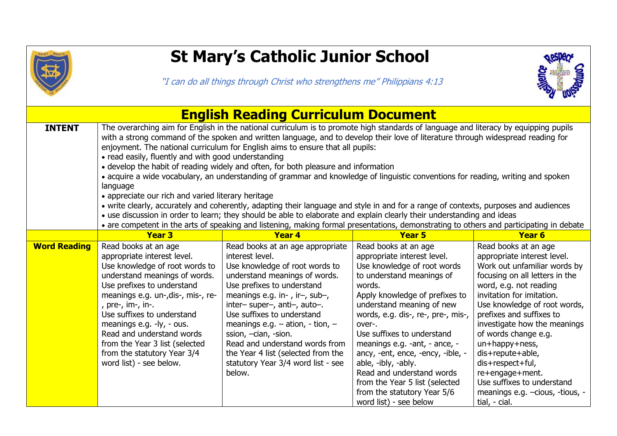

## **St Mary's Catholic Junior School**

"I can do all things through Christ who strengthens me" Philippians 4:13



| <b>English Reading Curriculum Document</b> |                                                                                                                                                                                                                                                                                                                                                                                                                                                                                                                                                                                                                                                                                                                                                                                                                                                                                                                                                                                                                                                                                                                            |                                                                                                                                                                                                                                                                                                                                                                                                                                               |                                                                                                                                                                                                                                                                                                                                                                                                                                                                                             |                                                                                                                                                                                                                                                                                                                                                                                                                                                                 |
|--------------------------------------------|----------------------------------------------------------------------------------------------------------------------------------------------------------------------------------------------------------------------------------------------------------------------------------------------------------------------------------------------------------------------------------------------------------------------------------------------------------------------------------------------------------------------------------------------------------------------------------------------------------------------------------------------------------------------------------------------------------------------------------------------------------------------------------------------------------------------------------------------------------------------------------------------------------------------------------------------------------------------------------------------------------------------------------------------------------------------------------------------------------------------------|-----------------------------------------------------------------------------------------------------------------------------------------------------------------------------------------------------------------------------------------------------------------------------------------------------------------------------------------------------------------------------------------------------------------------------------------------|---------------------------------------------------------------------------------------------------------------------------------------------------------------------------------------------------------------------------------------------------------------------------------------------------------------------------------------------------------------------------------------------------------------------------------------------------------------------------------------------|-----------------------------------------------------------------------------------------------------------------------------------------------------------------------------------------------------------------------------------------------------------------------------------------------------------------------------------------------------------------------------------------------------------------------------------------------------------------|
| <b>INTENT</b>                              | The overarching aim for English in the national curriculum is to promote high standards of language and literacy by equipping pupils<br>with a strong command of the spoken and written language, and to develop their love of literature through widespread reading for<br>enjoyment. The national curriculum for English aims to ensure that all pupils:<br>• read easily, fluently and with good understanding<br>• develop the habit of reading widely and often, for both pleasure and information<br>• acquire a wide vocabulary, an understanding of grammar and knowledge of linguistic conventions for reading, writing and spoken<br>language<br>• appreciate our rich and varied literary heritage<br>• write clearly, accurately and coherently, adapting their language and style in and for a range of contexts, purposes and audiences<br>• use discussion in order to learn; they should be able to elaborate and explain clearly their understanding and ideas<br>• are competent in the arts of speaking and listening, making formal presentations, demonstrating to others and participating in debate |                                                                                                                                                                                                                                                                                                                                                                                                                                               |                                                                                                                                                                                                                                                                                                                                                                                                                                                                                             |                                                                                                                                                                                                                                                                                                                                                                                                                                                                 |
|                                            | <b>Year 3</b>                                                                                                                                                                                                                                                                                                                                                                                                                                                                                                                                                                                                                                                                                                                                                                                                                                                                                                                                                                                                                                                                                                              | <b>Year 4</b>                                                                                                                                                                                                                                                                                                                                                                                                                                 | <b>Year 5</b>                                                                                                                                                                                                                                                                                                                                                                                                                                                                               | Year 6                                                                                                                                                                                                                                                                                                                                                                                                                                                          |
| <b>Word Reading</b>                        | Read books at an age<br>appropriate interest level.<br>Use knowledge of root words to<br>understand meanings of words.<br>Use prefixes to understand<br>meanings e.g. un-, dis-, mis-, re-<br>, pre-, im-, in-.<br>Use suffixes to understand<br>meanings e.g. -ly, - ous.<br>Read and understand words<br>from the Year 3 list (selected<br>from the statutory Year 3/4<br>word list) - see below.                                                                                                                                                                                                                                                                                                                                                                                                                                                                                                                                                                                                                                                                                                                        | Read books at an age appropriate<br>interest level.<br>Use knowledge of root words to<br>understand meanings of words.<br>Use prefixes to understand<br>meanings e.g. in-, ir-, sub-,<br>inter- super-, anti-, auto-.<br>Use suffixes to understand<br>meanings e.g. $-$ ation, $-$ tion, $-$<br>ssion, -cian, -sion.<br>Read and understand words from<br>the Year 4 list (selected from the<br>statutory Year 3/4 word list - see<br>below. | Read books at an age<br>appropriate interest level.<br>Use knowledge of root words<br>to understand meanings of<br>words.<br>Apply knowledge of prefixes to<br>understand meaning of new<br>words, e.g. dis-, re-, pre-, mis-,<br>over-.<br>Use suffixes to understand<br>meanings e.g. -ant, - ance, -<br>ancy, -ent, ence, -ency, -ible, -<br>able, -ibly, -ably.<br>Read and understand words<br>from the Year 5 list (selected<br>from the statutory Year 5/6<br>word list) - see below | Read books at an age<br>appropriate interest level.<br>Work out unfamiliar words by<br>focusing on all letters in the<br>word, e.g. not reading<br>invitation for imitation.<br>Use knowledge of root words,<br>prefixes and suffixes to<br>investigate how the meanings<br>of words change e.g.<br>un+happy+ness,<br>dis+repute+able,<br>dis+respect+ful,<br>re+engage+ment.<br>Use suffixes to understand<br>meanings e.g. -cious, -tious, -<br>tial, - cial. |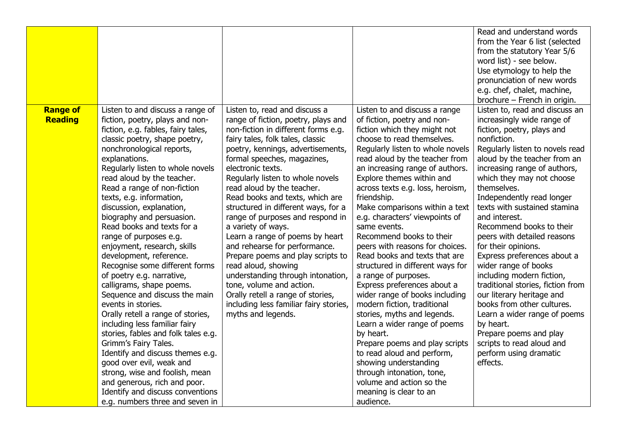|                                   |                                                                                                                                                                                                                                                                                                                                                                                                                                                                                                                                                                                                                                                                                                                                                                                                                                                                                                                                                               |                                                                                                                                                                                                                                                                                                                                                                                                                                                                                                                                                                                                                                                                                                                                                      |                                                                                                                                                                                                                                                                                                                                                                                                                                                                                                                                                                                                                                                                                                                                                                                                                                                                                                                             | Read and understand words<br>from the Year 6 list (selected<br>from the statutory Year 5/6<br>word list) - see below.<br>Use etymology to help the<br>pronunciation of new words<br>e.g. chef, chalet, machine,                                                                                                                                                                                                                                                                                                                                                                                                                                                                                                                                        |
|-----------------------------------|---------------------------------------------------------------------------------------------------------------------------------------------------------------------------------------------------------------------------------------------------------------------------------------------------------------------------------------------------------------------------------------------------------------------------------------------------------------------------------------------------------------------------------------------------------------------------------------------------------------------------------------------------------------------------------------------------------------------------------------------------------------------------------------------------------------------------------------------------------------------------------------------------------------------------------------------------------------|------------------------------------------------------------------------------------------------------------------------------------------------------------------------------------------------------------------------------------------------------------------------------------------------------------------------------------------------------------------------------------------------------------------------------------------------------------------------------------------------------------------------------------------------------------------------------------------------------------------------------------------------------------------------------------------------------------------------------------------------------|-----------------------------------------------------------------------------------------------------------------------------------------------------------------------------------------------------------------------------------------------------------------------------------------------------------------------------------------------------------------------------------------------------------------------------------------------------------------------------------------------------------------------------------------------------------------------------------------------------------------------------------------------------------------------------------------------------------------------------------------------------------------------------------------------------------------------------------------------------------------------------------------------------------------------------|--------------------------------------------------------------------------------------------------------------------------------------------------------------------------------------------------------------------------------------------------------------------------------------------------------------------------------------------------------------------------------------------------------------------------------------------------------------------------------------------------------------------------------------------------------------------------------------------------------------------------------------------------------------------------------------------------------------------------------------------------------|
|                                   |                                                                                                                                                                                                                                                                                                                                                                                                                                                                                                                                                                                                                                                                                                                                                                                                                                                                                                                                                               |                                                                                                                                                                                                                                                                                                                                                                                                                                                                                                                                                                                                                                                                                                                                                      |                                                                                                                                                                                                                                                                                                                                                                                                                                                                                                                                                                                                                                                                                                                                                                                                                                                                                                                             | brochure - French in origin.                                                                                                                                                                                                                                                                                                                                                                                                                                                                                                                                                                                                                                                                                                                           |
| <b>Range of</b><br><b>Reading</b> | Listen to and discuss a range of<br>fiction, poetry, plays and non-<br>fiction, e.g. fables, fairy tales,<br>classic poetry, shape poetry,<br>nonchronological reports,<br>explanations.<br>Regularly listen to whole novels<br>read aloud by the teacher.<br>Read a range of non-fiction<br>texts, e.g. information,<br>discussion, explanation,<br>biography and persuasion.<br>Read books and texts for a<br>range of purposes e.g.<br>enjoyment, research, skills<br>development, reference.<br>Recognise some different forms<br>of poetry e.g. narrative,<br>calligrams, shape poems.<br>Sequence and discuss the main<br>events in stories.<br>Orally retell a range of stories,<br>including less familiar fairy<br>stories, fables and folk tales e.g.<br>Grimm's Fairy Tales.<br>Identify and discuss themes e.g.<br>good over evil, weak and<br>strong, wise and foolish, mean<br>and generous, rich and poor.<br>Identify and discuss conventions | Listen to, read and discuss a<br>range of fiction, poetry, plays and<br>non-fiction in different forms e.g.<br>fairy tales, folk tales, classic<br>poetry, kennings, advertisements,<br>formal speeches, magazines,<br>electronic texts.<br>Regularly listen to whole novels<br>read aloud by the teacher.<br>Read books and texts, which are<br>structured in different ways, for a<br>range of purposes and respond in<br>a variety of ways.<br>Learn a range of poems by heart<br>and rehearse for performance.<br>Prepare poems and play scripts to<br>read aloud, showing<br>understanding through intonation,<br>tone, volume and action.<br>Orally retell a range of stories,<br>including less familiar fairy stories,<br>myths and legends. | Listen to and discuss a range<br>of fiction, poetry and non-<br>fiction which they might not<br>choose to read themselves.<br>Regularly listen to whole novels<br>read aloud by the teacher from<br>an increasing range of authors.<br>Explore themes within and<br>across texts e.g. loss, heroism,<br>friendship.<br>Make comparisons within a text<br>e.g. characters' viewpoints of<br>same events.<br>Recommend books to their<br>peers with reasons for choices.<br>Read books and texts that are<br>structured in different ways for<br>a range of purposes.<br>Express preferences about a<br>wider range of books including<br>modern fiction, traditional<br>stories, myths and legends.<br>Learn a wider range of poems<br>by heart.<br>Prepare poems and play scripts<br>to read aloud and perform,<br>showing understanding<br>through intonation, tone,<br>volume and action so the<br>meaning is clear to an | Listen to, read and discuss an<br>increasingly wide range of<br>fiction, poetry, plays and<br>nonfiction.<br>Regularly listen to novels read<br>aloud by the teacher from an<br>increasing range of authors,<br>which they may not choose<br>themselves.<br>Independently read longer<br>texts with sustained stamina<br>and interest.<br>Recommend books to their<br>peers with detailed reasons<br>for their opinions.<br>Express preferences about a<br>wider range of books<br>including modern fiction,<br>traditional stories, fiction from<br>our literary heritage and<br>books from other cultures.<br>Learn a wider range of poems<br>by heart.<br>Prepare poems and play<br>scripts to read aloud and<br>perform using dramatic<br>effects. |
|                                   | e.g. numbers three and seven in                                                                                                                                                                                                                                                                                                                                                                                                                                                                                                                                                                                                                                                                                                                                                                                                                                                                                                                               |                                                                                                                                                                                                                                                                                                                                                                                                                                                                                                                                                                                                                                                                                                                                                      | audience.                                                                                                                                                                                                                                                                                                                                                                                                                                                                                                                                                                                                                                                                                                                                                                                                                                                                                                                   |                                                                                                                                                                                                                                                                                                                                                                                                                                                                                                                                                                                                                                                                                                                                                        |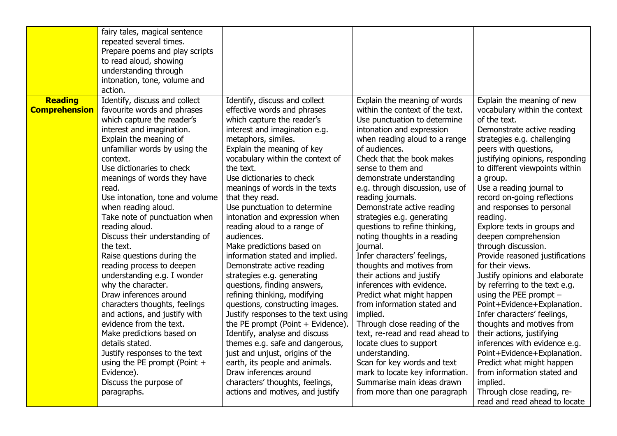|                      | fairy tales, magical sentence   |                                     |                                 |                                 |
|----------------------|---------------------------------|-------------------------------------|---------------------------------|---------------------------------|
|                      | repeated several times.         |                                     |                                 |                                 |
|                      | Prepare poems and play scripts  |                                     |                                 |                                 |
|                      | to read aloud, showing          |                                     |                                 |                                 |
|                      | understanding through           |                                     |                                 |                                 |
|                      | intonation, tone, volume and    |                                     |                                 |                                 |
|                      | action.                         |                                     |                                 |                                 |
| <b>Reading</b>       | Identify, discuss and collect   | Identify, discuss and collect       | Explain the meaning of words    | Explain the meaning of new      |
| <b>Comprehension</b> | favourite words and phrases     | effective words and phrases         | within the context of the text. | vocabulary within the context   |
|                      | which capture the reader's      | which capture the reader's          | Use punctuation to determine    | of the text.                    |
|                      | interest and imagination.       | interest and imagination e.g.       | intonation and expression       | Demonstrate active reading      |
|                      | Explain the meaning of          | metaphors, similes.                 | when reading aloud to a range   | strategies e.g. challenging     |
|                      | unfamiliar words by using the   | Explain the meaning of key          | of audiences.                   | peers with questions,           |
|                      | context.                        | vocabulary within the context of    | Check that the book makes       | justifying opinions, responding |
|                      | Use dictionaries to check       | the text.                           | sense to them and               | to different viewpoints within  |
|                      | meanings of words they have     | Use dictionaries to check           | demonstrate understanding       | a group.                        |
|                      | read.                           | meanings of words in the texts      | e.g. through discussion, use of | Use a reading journal to        |
|                      | Use intonation, tone and volume | that they read.                     | reading journals.               | record on-going reflections     |
|                      | when reading aloud.             | Use punctuation to determine        | Demonstrate active reading      | and responses to personal       |
|                      | Take note of punctuation when   | intonation and expression when      | strategies e.g. generating      | reading.                        |
|                      | reading aloud.                  | reading aloud to a range of         | questions to refine thinking,   | Explore texts in groups and     |
|                      | Discuss their understanding of  | audiences.                          | noting thoughts in a reading    | deepen comprehension            |
|                      | the text.                       | Make predictions based on           | journal.                        | through discussion.             |
|                      | Raise questions during the      | information stated and implied.     | Infer characters' feelings,     | Provide reasoned justifications |
|                      | reading process to deepen       | Demonstrate active reading          | thoughts and motives from       | for their views.                |
|                      | understanding e.g. I wonder     | strategies e.g. generating          | their actions and justify       | Justify opinions and elaborate  |
|                      | why the character.              | questions, finding answers,         | inferences with evidence.       | by referring to the text e.g.   |
|                      | Draw inferences around          | refining thinking, modifying        | Predict what might happen       | using the PEE prompt $-$        |
|                      | characters thoughts, feelings   | questions, constructing images.     | from information stated and     | Point+Evidence+Explanation.     |
|                      | and actions, and justify with   | Justify responses to the text using | implied.                        | Infer characters' feelings,     |
|                      | evidence from the text.         | the PE prompt (Point $+$ Evidence). | Through close reading of the    | thoughts and motives from       |
|                      | Make predictions based on       | Identify, analyse and discuss       | text, re-read and read ahead to | their actions, justifying       |
|                      | details stated.                 | themes e.g. safe and dangerous,     | locate clues to support         | inferences with evidence e.g.   |
|                      | Justify responses to the text   | just and unjust, origins of the     | understanding.                  | Point+Evidence+Explanation.     |
|                      | using the PE prompt (Point $+$  | earth, its people and animals.      | Scan for key words and text     | Predict what might happen       |
|                      | Evidence).                      | Draw inferences around              | mark to locate key information. | from information stated and     |
|                      | Discuss the purpose of          | characters' thoughts, feelings,     | Summarise main ideas drawn      | implied.                        |
|                      | paragraphs.                     | actions and motives, and justify    | from more than one paragraph    | Through close reading, re-      |
|                      |                                 |                                     |                                 | read and read ahead to locate   |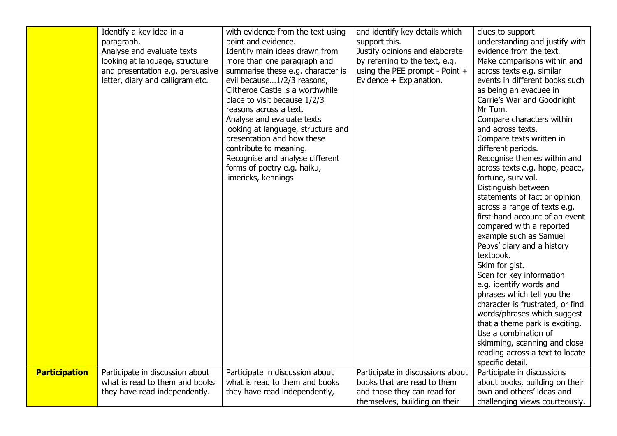|                      | Identify a key idea in a         | with evidence from the text using  | and identify key details which   | clues to support                                      |
|----------------------|----------------------------------|------------------------------------|----------------------------------|-------------------------------------------------------|
|                      | paragraph.                       | point and evidence.                | support this.                    | understanding and justify with                        |
|                      | Analyse and evaluate texts       | Identify main ideas drawn from     | Justify opinions and elaborate   | evidence from the text.                               |
|                      | looking at language, structure   | more than one paragraph and        | by referring to the text, e.g.   | Make comparisons within and                           |
|                      | and presentation e.g. persuasive | summarise these e.g. character is  | using the PEE prompt - Point $+$ | across texts e.g. similar                             |
|                      | letter, diary and calligram etc. | evil because1/2/3 reasons,         | Evidence + Explanation.          | events in different books such                        |
|                      |                                  | Clitheroe Castle is a worthwhile   |                                  | as being an evacuee in                                |
|                      |                                  | place to visit because 1/2/3       |                                  | Carrie's War and Goodnight                            |
|                      |                                  | reasons across a text.             |                                  | Mr Tom.                                               |
|                      |                                  | Analyse and evaluate texts         |                                  | Compare characters within                             |
|                      |                                  | looking at language, structure and |                                  | and across texts.                                     |
|                      |                                  | presentation and how these         |                                  | Compare texts written in                              |
|                      |                                  | contribute to meaning.             |                                  | different periods.                                    |
|                      |                                  | Recognise and analyse different    |                                  | Recognise themes within and                           |
|                      |                                  | forms of poetry e.g. haiku,        |                                  | across texts e.g. hope, peace,                        |
|                      |                                  | limericks, kennings                |                                  | fortune, survival.                                    |
|                      |                                  |                                    |                                  | Distinguish between                                   |
|                      |                                  |                                    |                                  | statements of fact or opinion                         |
|                      |                                  |                                    |                                  | across a range of texts e.g.                          |
|                      |                                  |                                    |                                  | first-hand account of an event                        |
|                      |                                  |                                    |                                  | compared with a reported                              |
|                      |                                  |                                    |                                  | example such as Samuel                                |
|                      |                                  |                                    |                                  | Pepys' diary and a history                            |
|                      |                                  |                                    |                                  | textbook.                                             |
|                      |                                  |                                    |                                  | Skim for gist.                                        |
|                      |                                  |                                    |                                  | Scan for key information                              |
|                      |                                  |                                    |                                  | e.g. identify words and<br>phrases which tell you the |
|                      |                                  |                                    |                                  | character is frustrated, or find                      |
|                      |                                  |                                    |                                  | words/phrases which suggest                           |
|                      |                                  |                                    |                                  | that a theme park is exciting.                        |
|                      |                                  |                                    |                                  | Use a combination of                                  |
|                      |                                  |                                    |                                  | skimming, scanning and close                          |
|                      |                                  |                                    |                                  | reading across a text to locate                       |
|                      |                                  |                                    |                                  | specific detail.                                      |
| <b>Participation</b> | Participate in discussion about  | Participate in discussion about    | Participate in discussions about | Participate in discussions                            |
|                      | what is read to them and books   | what is read to them and books     | books that are read to them      | about books, building on their                        |
|                      | they have read independently.    | they have read independently,      | and those they can read for      | own and others' ideas and                             |
|                      |                                  |                                    | themselves, building on their    | challenging views courteously.                        |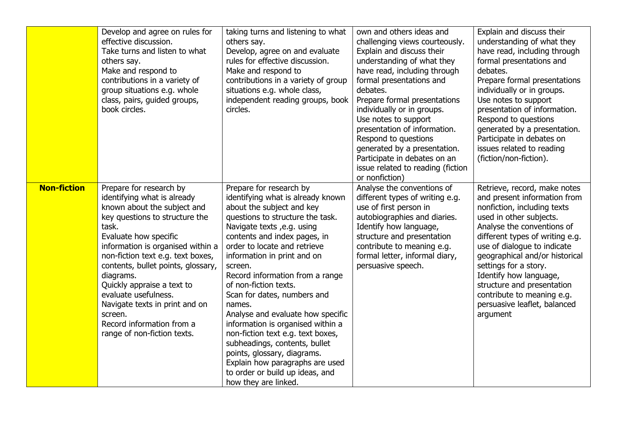|                    | Develop and agree on rules for<br>effective discussion.<br>Take turns and listen to what<br>others say.<br>Make and respond to<br>contributions in a variety of<br>group situations e.g. whole<br>class, pairs, guided groups,<br>book circles.                                                                                                                                                                                                       | taking turns and listening to what<br>others say.<br>Develop, agree on and evaluate<br>rules for effective discussion.<br>Make and respond to<br>contributions in a variety of group<br>situations e.g. whole class,<br>independent reading groups, book<br>circles.                                                                                                                                                                                                                                                                                                                                                                                     | own and others ideas and<br>challenging views courteously.<br>Explain and discuss their<br>understanding of what they<br>have read, including through<br>formal presentations and<br>debates.<br>Prepare formal presentations<br>individually or in groups.<br>Use notes to support<br>presentation of information.<br>Respond to questions<br>generated by a presentation.<br>Participate in debates on an<br>issue related to reading (fiction<br>or nonfiction) | Explain and discuss their<br>understanding of what they<br>have read, including through<br>formal presentations and<br>debates.<br>Prepare formal presentations<br>individually or in groups.<br>Use notes to support<br>presentation of information.<br>Respond to questions<br>generated by a presentation.<br>Participate in debates on<br>issues related to reading<br>(fiction/non-fiction).                   |
|--------------------|-------------------------------------------------------------------------------------------------------------------------------------------------------------------------------------------------------------------------------------------------------------------------------------------------------------------------------------------------------------------------------------------------------------------------------------------------------|----------------------------------------------------------------------------------------------------------------------------------------------------------------------------------------------------------------------------------------------------------------------------------------------------------------------------------------------------------------------------------------------------------------------------------------------------------------------------------------------------------------------------------------------------------------------------------------------------------------------------------------------------------|--------------------------------------------------------------------------------------------------------------------------------------------------------------------------------------------------------------------------------------------------------------------------------------------------------------------------------------------------------------------------------------------------------------------------------------------------------------------|---------------------------------------------------------------------------------------------------------------------------------------------------------------------------------------------------------------------------------------------------------------------------------------------------------------------------------------------------------------------------------------------------------------------|
| <b>Non-fiction</b> | Prepare for research by<br>identifying what is already<br>known about the subject and<br>key questions to structure the<br>task.<br>Evaluate how specific<br>information is organised within a<br>non-fiction text e.g. text boxes,<br>contents, bullet points, glossary,<br>diagrams.<br>Quickly appraise a text to<br>evaluate usefulness.<br>Navigate texts in print and on<br>screen.<br>Record information from a<br>range of non-fiction texts. | Prepare for research by<br>identifying what is already known<br>about the subject and key<br>questions to structure the task.<br>Navigate texts , e.g. using<br>contents and index pages, in<br>order to locate and retrieve<br>information in print and on<br>screen.<br>Record information from a range<br>of non-fiction texts.<br>Scan for dates, numbers and<br>names.<br>Analyse and evaluate how specific<br>information is organised within a<br>non-fiction text e.g. text boxes,<br>subheadings, contents, bullet<br>points, glossary, diagrams.<br>Explain how paragraphs are used<br>to order or build up ideas, and<br>how they are linked. | Analyse the conventions of<br>different types of writing e.g.<br>use of first person in<br>autobiographies and diaries.<br>Identify how language,<br>structure and presentation<br>contribute to meaning e.g.<br>formal letter, informal diary,<br>persuasive speech.                                                                                                                                                                                              | Retrieve, record, make notes<br>and present information from<br>nonfiction, including texts<br>used in other subjects.<br>Analyse the conventions of<br>different types of writing e.g.<br>use of dialogue to indicate<br>geographical and/or historical<br>settings for a story.<br>Identify how language,<br>structure and presentation<br>contribute to meaning e.g.<br>persuasive leaflet, balanced<br>argument |